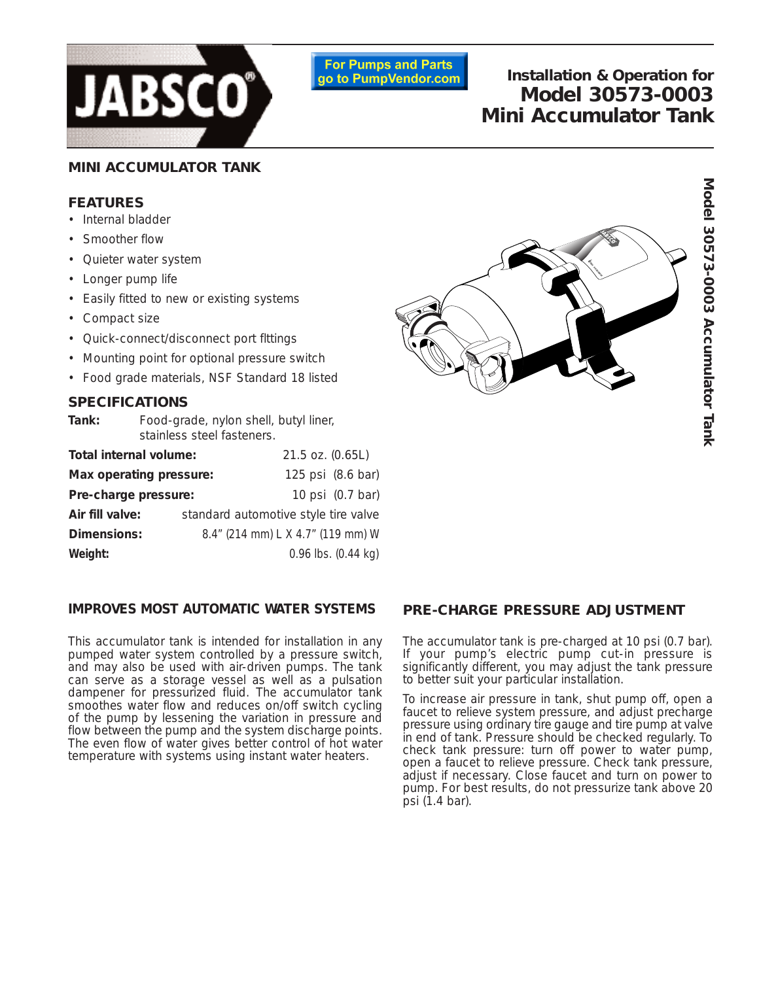

**For Pumps and Parts** go to PumpVendor.com

# **Installation & Operation for Model 30573-0003 Mini Accumulator Tank**

# **MINI ACCUMULATOR TANK**

### **FEATURES**

- Internal bladder
- Smoother flow
- Quieter water system
- Longer pump life
- Easily fitted to new or existing systems
- Compact size
- Quick-connect/disconnect port flttings
- Mounting point for optional pressure switch
- Food grade materials, NSF Standard 18 listed

### **SPECIFICATIONS**

| Tank:                   | Food-grade, nylon shell, butyl liner,<br>stainless steel fasteners. |                   |                         |
|-------------------------|---------------------------------------------------------------------|-------------------|-------------------------|
| Total internal volume:  |                                                                     | 21.5 oz. (0.65L)  |                         |
| Max operating pressure: |                                                                     | 125 psi (8.6 bar) |                         |
| Pre-charge pressure:    |                                                                     |                   | 10 psi (0.7 bar)        |
| Air fill valve:         | standard automotive style tire valve                                |                   |                         |
| Dimensions:             | 8.4" (214 mm) L X 4.7" (119 mm) W                                   |                   |                         |
| Weight:                 |                                                                     |                   | $0.96$ lbs. $(0.44$ kg) |

## **IMPROVES MOST AUTOMATIC WATER SYSTEMS**

This accumulator tank is intended for installation in any pumped water system controlled by a pressure switch, and may also be used with air-driven pumps. The tank can serve as a storage vessel as well as a pulsation dampener for pressurized fluid. The accumulator tank smoothes water flow and reduces on/off switch cycling of the pump by lessening the variation in pressure and flow between the pump and the system discharge points. The even flow of water gives better control of hot water temperature with systems using instant water heaters.



#### **PRE-CHARGE PRESSURE ADJUSTMENT**

The accumulator tank is pre-charged at 10 psi (0.7 bar). If your pump's electric pump cut-in pressure is significantly different, you may adjust the tank pressure to better suit your particular installation.

To increase air pressure in tank, shut pump off, open a faucet to relieve system pressure, and adjust precharge pressure using ordinary tire gauge and tire pump at valve in end of tank. Pressure should be checked regularly. To check tank pressure: turn off power to water pump, open a faucet to relieve pressure. Check tank pressure, adjust if necessary. Close faucet and turn on power to pump. For best results, do not pressurize tank above 20 psi (1.4 bar).